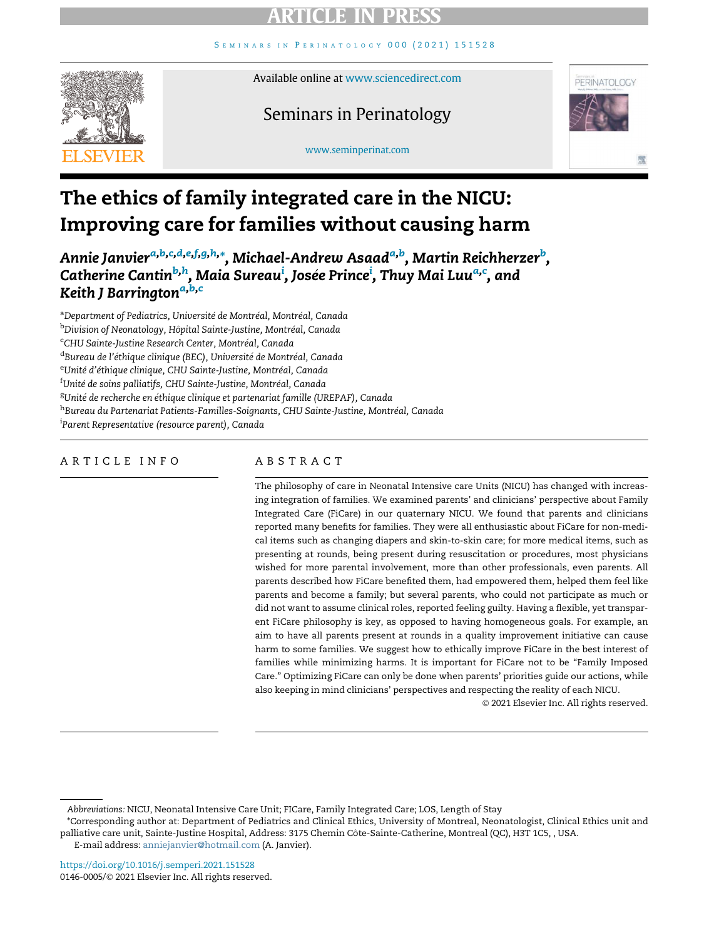SEMINARS IN PERINATOLOGY [000 \(2021\) 151528](http://dx.doi.org/10.1016/j.semperi.2021.151528)



#### Available online at [www.sciencedirect.com](http://www.sciencedirect.com)

### Seminars in Perinatology



#### [www.seminperinat.com](http://www.seminperinat.com)

# The ethics of family integrated care in the NICU: Improving care for families without causing harm

Annie Janvier<sup>[a,](#page-0-0)[b](#page-0-1)[,c](#page-0-2),[d](#page-0-3),[e](#page-0-4),[f](#page-0-5),[g,](#page-0-6)[h,](#page-0-7)</sup>[\\*,](#page-0-8) Michael-Andrew Asaad<sup>a,b</sup>, Martin Reichherzer<sup>b</sup>, Catherine Cantin<sup>[b,](#page-0-1)[h](#page-0-7)</sup>, Ma[i](#page-0-9)[a](#page-0-0) Sureau<sup>i</sup>, Josée Prin[c](#page-0-2)e<sup>i</sup>, Thuy Mai Luu<sup>a,c</sup>, and Keith J B[a](#page-0-0)rrington<sup>a[,b,](#page-0-1)[c](#page-0-2)</sup>

<span id="page-0-5"></span><span id="page-0-4"></span><span id="page-0-3"></span><span id="page-0-2"></span><span id="page-0-1"></span><span id="page-0-0"></span><sup>a</sup>Department of Pediatrics, Université de Montréal, Montréal, Canada <sup>b</sup>Division of Neonatology, Hôpital Sainte-Justine, Montréal, Canada <sup>c</sup>CHU Sainte-Justine Research Center, Montréal, Canada <sup>d</sup>Bureau de l'éthique clinique (BEC), Université de Montréal, Canada <sup>e</sup>Unité d'éthique clinique, CHU Sainte-Justine, Montréal, Canada <sup>f</sup>Unité de soins palliatifs, CHU Sainte-Justine, Montréal, Canada <sup>g</sup>Unité de recherche en éthique clinique et partenariat famille (UREPAF), Canada hBureau du Partenariat Patients-Familles-Soignants, CHU Sainte-Justine, Montréal, Canada <sup>i</sup>Parent Representative (resource parent), Canada

#### <span id="page-0-9"></span><span id="page-0-7"></span><span id="page-0-6"></span>ARTICLE INFO

#### ABSTRACT

The philosophy of care in Neonatal Intensive care Units (NICU) has changed with increasing integration of families. We examined parents' and clinicians' perspective about Family Integrated Care (FiCare) in our quaternary NICU. We found that parents and clinicians reported many benefits for families. They were all enthusiastic about FiCare for non-medical items such as changing diapers and skin-to-skin care; for more medical items, such as presenting at rounds, being present during resuscitation or procedures, most physicians wished for more parental involvement, more than other professionals, even parents. All parents described how FiCare benefited them, had empowered them, helped them feel like parents and become a family; but several parents, who could not participate as much or did not want to assume clinical roles, reported feeling guilty. Having a flexible, yet transparent FiCare philosophy is key, as opposed to having homogeneous goals. For example, an aim to have all parents present at rounds in a quality improvement initiative can cause harm to some families. We suggest how to ethically improve FiCare in the best interest of families while minimizing harms. It is important for FiCare not to be "Family Imposed Care." Optimizing FiCare can only be done when parents' priorities guide our actions, while also keeping in mind clinicians' perspectives and respecting the reality of each NICU.

2021 Elsevier Inc. All rights reserved.

<span id="page-0-8"></span>\*Corresponding author at: Department of Pediatrics and Clinical Ethics, University of Montreal, Neonatologist, Clinical Ethics unit and palliative care unit, Sainte-Justine Hospital, Address: 3175 Chemin Côte-Sainte-Catherine, Montreal (QC), H3T 1C5, , USA. E-mail address: [anniejanvier@hotmail.com](mailto:anniejanvier@hotmail.com) (A. Janvier).

Abbreviations: NICU, Neonatal Intensive Care Unit; FICare, Family Integrated Care; LOS, Length of Stay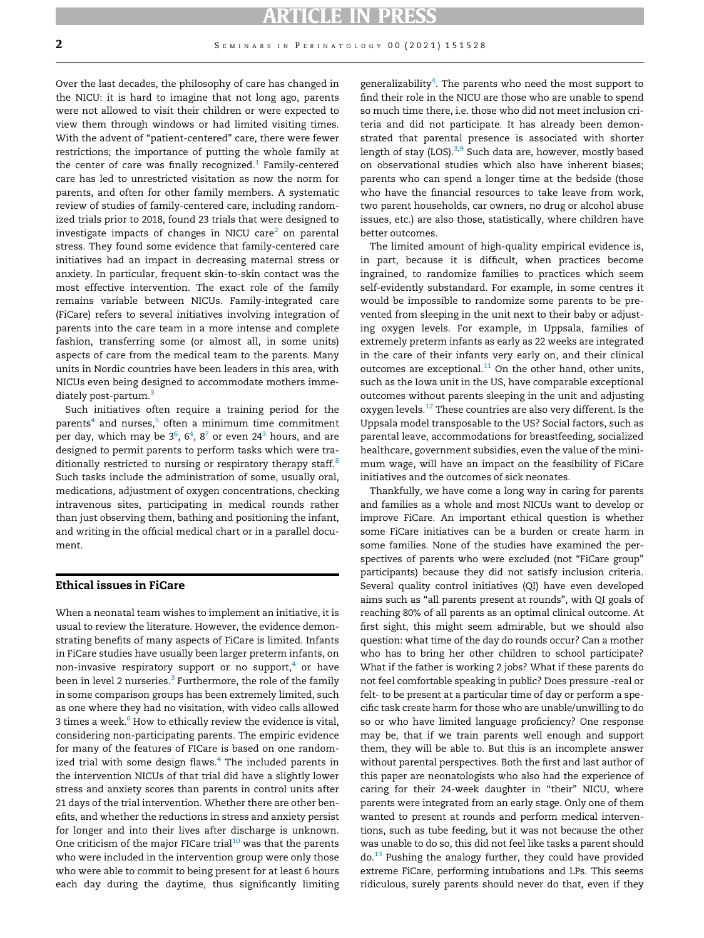Over the last decades, the philosophy of care has changed in the NICU: it is hard to imagine that not long ago, parents were not allowed to visit their children or were expected to view them through windows or had limited visiting times. With the advent of "patient-centered" care, there were fewer restrictions; the importance of putting the whole family at the center of care was finally recognized.<sup>[1](#page-7-0)</sup> Family-centered care has led to unrestricted visitation as now the norm for parents, and often for other family members. A systematic review of studies of family-centered care, including randomized trials prior to 2018, found 23 trials that were designed to investigate impacts of changes in NICU care $2$  on parental stress. They found some evidence that family-centered care initiatives had an impact in decreasing maternal stress or anxiety. In particular, frequent skin-to-skin contact was the most effective intervention. The exact role of the family remains variable between NICUs. Family-integrated care (FiCare) refers to several initiatives involving integration of parents into the care team in a more intense and complete fashion, transferring some (or almost all, in some units) aspects of care from the medical team to the parents. Many units in Nordic countries have been leaders in this area, with NICUs even being designed to accommodate mothers imme-diately post-partum.<sup>[3](#page-7-2)</sup>

Such initiatives often require a training period for the parents<sup>[4](#page-7-3)</sup> and nurses, $5$  often a minimum time commitment per day, which may be 3 $^6$  $^6$ , 6 $^4$  $^4$ , 8 $^7$  or even 24 $^3$  hours, and are designed to permit parents to perform tasks which were tra-ditionally restricted to nursing or respiratory therapy staff.<sup>[8](#page-7-7)</sup> Such tasks include the administration of some, usually oral, medications, adjustment of oxygen concentrations, checking intravenous sites, participating in medical rounds rather than just observing them, bathing and positioning the infant, and writing in the official medical chart or in a parallel document.

#### Ethical issues in FiCare

When a neonatal team wishes to implement an initiative, it is usual to review the literature. However, the evidence demonstrating benefits of many aspects of FiCare is limited. Infants in FiCare studies have usually been larger preterm infants, on non-invasive respiratory support or no support, $4$  or have been in level 2 nurseries.<sup>[3](#page-7-2)</sup> Furthermore, the role of the family in some comparison groups has been extremely limited, such as one where they had no visitation, with video calls allowed 3 times a week. $6$  How to ethically review the evidence is vital, considering non-participating parents. The empiric evidence for many of the features of FICare is based on one randomized trial with some design flaws. $4$  The included parents in the intervention NICUs of that trial did have a slightly lower stress and anxiety scores than parents in control units after 21 days of the trial intervention. Whether there are other benefits, and whether the reductions in stress and anxiety persist for longer and into their lives after discharge is unknown. One criticism of the major FICare trial<sup>[10](#page-7-8)</sup> was that the parents who were included in the intervention group were only those who were able to commit to being present for at least 6 hours each day during the daytime, thus significantly limiting

generalizability ${}^4$  ${}^4$ . The parents who need the most support to find their role in the NICU are those who are unable to spend so much time there, i.e. those who did not meet inclusion criteria and did not participate. It has already been demonstrated that parental presence is associated with shorter length of stay (LOS).<sup>3,[9](#page-7-9)</sup> Such data are, however, mostly based on observational studies which also have inherent biases; parents who can spend a longer time at the bedside (those who have the financial resources to take leave from work, two parent households, car owners, no drug or alcohol abuse issues, etc.) are also those, statistically, where children have better outcomes.

The limited amount of high-quality empirical evidence is, in part, because it is difficult, when practices become ingrained, to randomize families to practices which seem self-evidently substandard. For example, in some centres it would be impossible to randomize some parents to be prevented from sleeping in the unit next to their baby or adjusting oxygen levels. For example, in Uppsala, families of extremely preterm infants as early as 22 weeks are integrated in the care of their infants very early on, and their clinical outcomes are exceptional. $11$  On the other hand, other units, such as the Iowa unit in the US, have comparable exceptional outcomes without parents sleeping in the unit and adjusting oxygen levels.<sup>[12](#page-7-11)</sup> These countries are also very different. Is the Uppsala model transposable to the US? Social factors, such as parental leave, accommodations for breastfeeding, socialized healthcare, government subsidies, even the value of the minimum wage, will have an impact on the feasibility of FiCare initiatives and the outcomes of sick neonates.

Thankfully, we have come a long way in caring for parents and families as a whole and most NICUs want to develop or improve FiCare. An important ethical question is whether some FiCare initiatives can be a burden or create harm in some families. None of the studies have examined the perspectives of parents who were excluded (not "FiCare group" participants) because they did not satisfy inclusion criteria. Several quality control initiatives (QI) have even developed aims such as "all parents present at rounds", with QI goals of reaching 80% of all parents as an optimal clinical outcome. At first sight, this might seem admirable, but we should also question: what time of the day do rounds occur? Can a mother who has to bring her other children to school participate? What if the father is working 2 jobs? What if these parents do not feel comfortable speaking in public? Does pressure -real or felt- to be present at a particular time of day or perform a specific task create harm for those who are unable/unwilling to do so or who have limited language proficiency? One response may be, that if we train parents well enough and support them, they will be able to. But this is an incomplete answer without parental perspectives. Both the first and last author of this paper are neonatologists who also had the experience of caring for their 24-week daughter in "their" NICU, where parents were integrated from an early stage. Only one of them wanted to present at rounds and perform medical interventions, such as tube feeding, but it was not because the other was unable to do so, this did not feel like tasks a parent should do.<sup>[13](#page-7-12)</sup> Pushing the analogy further, they could have provided extreme FiCare, performing intubations and LPs. This seems ridiculous, surely parents should never do that, even if they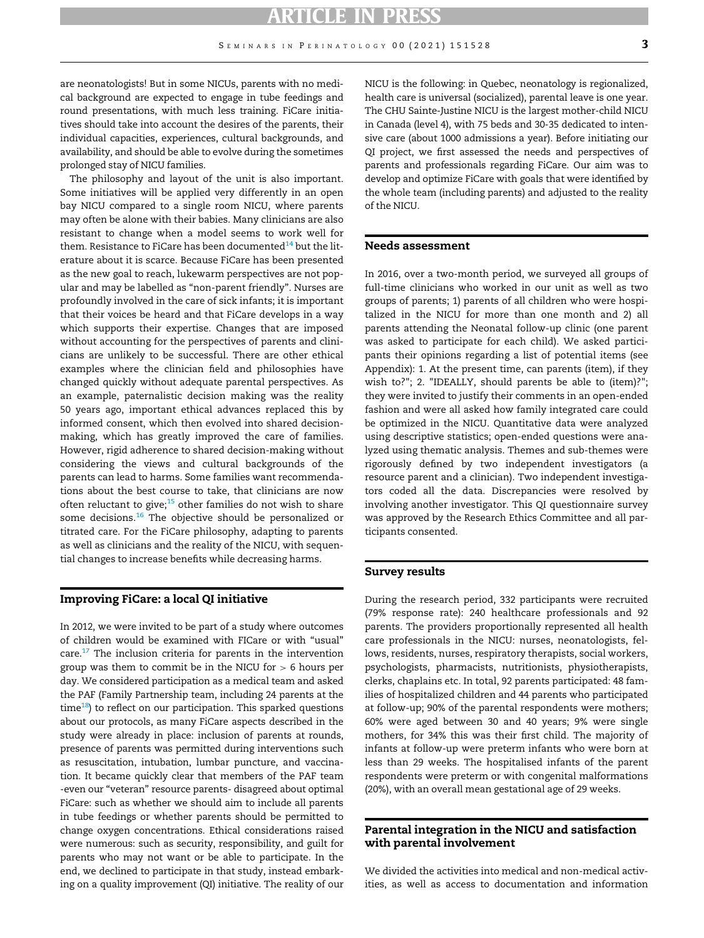are neonatologists! But in some NICUs, parents with no medical background are expected to engage in tube feedings and round presentations, with much less training. FiCare initiatives should take into account the desires of the parents, their individual capacities, experiences, cultural backgrounds, and availability, and should be able to evolve during the sometimes prolonged stay of NICU families.

The philosophy and layout of the unit is also important. Some initiatives will be applied very differently in an open bay NICU compared to a single room NICU, where parents may often be alone with their babies. Many clinicians are also resistant to change when a model seems to work well for them. Resistance to FiCare has been documented $^{14}$  $^{14}$  $^{14}$  but the literature about it is scarce. Because FiCare has been presented as the new goal to reach, lukewarm perspectives are not popular and may be labelled as "non-parent friendly". Nurses are profoundly involved in the care of sick infants; it is important that their voices be heard and that FiCare develops in a way which supports their expertise. Changes that are imposed without accounting for the perspectives of parents and clinicians are unlikely to be successful. There are other ethical examples where the clinician field and philosophies have changed quickly without adequate parental perspectives. As an example, paternalistic decision making was the reality 50 years ago, important ethical advances replaced this by informed consent, which then evolved into shared decisionmaking, which has greatly improved the care of families. However, rigid adherence to shared decision-making without considering the views and cultural backgrounds of the parents can lead to harms. Some families want recommendations about the best course to take, that clinicians are now often reluctant to give; $15$  other families do not wish to share some decisions.<sup>[16](#page-7-15)</sup> The objective should be personalized or titrated care. For the FiCare philosophy, adapting to parents as well as clinicians and the reality of the NICU, with sequential changes to increase benefits while decreasing harms.

#### Improving FiCare: a local QI initiative

In 2012, we were invited to be part of a study where outcomes of children would be examined with FICare or with "usual" care.<sup>17</sup> The inclusion criteria for parents in the intervention group was them to commit be in the NICU for  $> 6$  hours per day. We considered participation as a medical team and asked the PAF (Family Partnership team, including 24 parents at the  $time^{18}$ ) to reflect on our participation. This sparked questions about our protocols, as many FiCare aspects described in the study were already in place: inclusion of parents at rounds, presence of parents was permitted during interventions such as resuscitation, intubation, lumbar puncture, and vaccination. It became quickly clear that members of the PAF team -even our "veteran" resource parents- disagreed about optimal FiCare: such as whether we should aim to include all parents in tube feedings or whether parents should be permitted to change oxygen concentrations. Ethical considerations raised were numerous: such as security, responsibility, and guilt for parents who may not want or be able to participate. In the end, we declined to participate in that study, instead embarking on a quality improvement (QI) initiative. The reality of our NICU is the following: in Quebec, neonatology is regionalized, health care is universal (socialized), parental leave is one year. The CHU Sainte-Justine NICU is the largest mother-child NICU in Canada (level 4), with 75 beds and 30-35 dedicated to intensive care (about 1000 admissions a year). Before initiating our QI project, we first assessed the needs and perspectives of parents and professionals regarding FiCare. Our aim was to develop and optimize FiCare with goals that were identified by the whole team (including parents) and adjusted to the reality of the NICU.

#### Needs assessment

In 2016, over a two-month period, we surveyed all groups of full-time clinicians who worked in our unit as well as two groups of parents; 1) parents of all children who were hospitalized in the NICU for more than one month and 2) all parents attending the Neonatal follow-up clinic (one parent was asked to participate for each child). We asked participants their opinions regarding a list of potential items (see Appendix): 1. At the present time, can parents (item), if they wish to?"; 2. "IDEALLY, should parents be able to (item)?"; they were invited to justify their comments in an open-ended fashion and were all asked how family integrated care could be optimized in the NICU. Quantitative data were analyzed using descriptive statistics; open-ended questions were analyzed using thematic analysis. Themes and sub-themes were rigorously defined by two independent investigators (a resource parent and a clinician). Two independent investigators coded all the data. Discrepancies were resolved by involving another investigator. This QI questionnaire survey was approved by the Research Ethics Committee and all participants consented.

#### Survey results

During the research period, 332 participants were recruited (79% response rate): 240 healthcare professionals and 92 parents. The providers proportionally represented all health care professionals in the NICU: nurses, neonatologists, fellows, residents, nurses, respiratory therapists, social workers, psychologists, pharmacists, nutritionists, physiotherapists, clerks, chaplains etc. In total, 92 parents participated: 48 families of hospitalized children and 44 parents who participated at follow-up; 90% of the parental respondents were mothers; 60% were aged between 30 and 40 years; 9% were single mothers, for 34% this was their first child. The majority of infants at follow-up were preterm infants who were born at less than 29 weeks. The hospitalised infants of the parent respondents were preterm or with congenital malformations (20%), with an overall mean gestational age of 29 weeks.

#### Parental integration in the NICU and satisfaction with parental involvement

We divided the activities into medical and non-medical activities, as well as access to documentation and information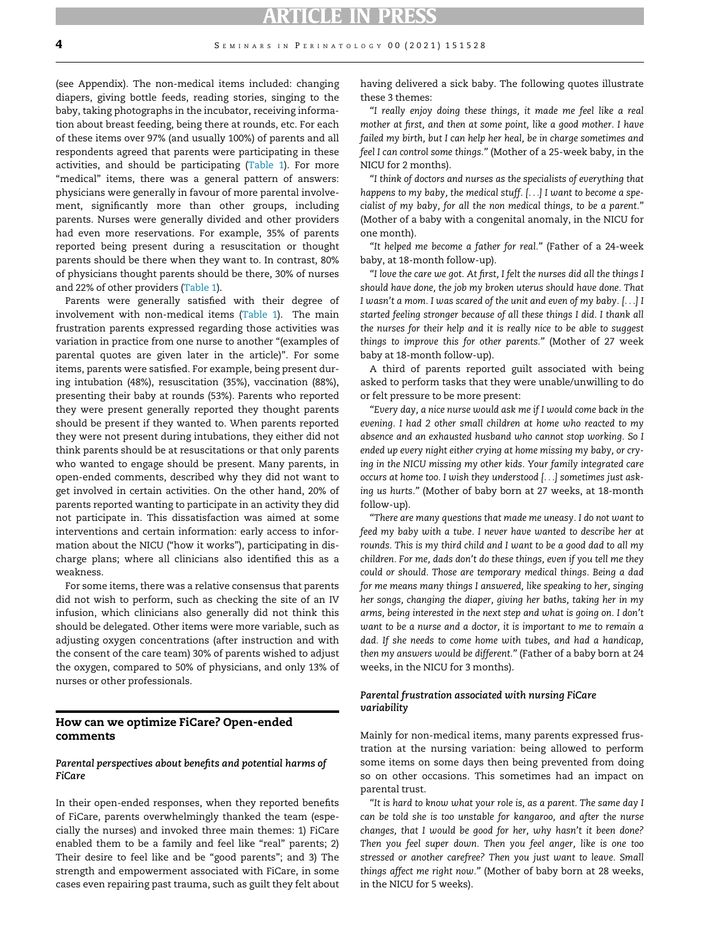#### **4** SEMINARS IN PERINATOLOGY 00 (2021) 151528

(see Appendix). The non-medical items included: changing diapers, giving bottle feeds, reading stories, singing to the baby, taking photographs in the incubator, receiving information about breast feeding, being there at rounds, etc. For each of these items over 97% (and usually 100%) of parents and all respondents agreed that parents were participating in these activities, and should be participating [\(Table 1\)](#page-4-0). For more "medical" items, there was a general pattern of answers: physicians were generally in favour of more parental involvement, significantly more than other groups, including parents. Nurses were generally divided and other providers had even more reservations. For example, 35% of parents reported being present during a resuscitation or thought parents should be there when they want to. In contrast, 80% of physicians thought parents should be there, 30% of nurses and 22% of other providers ([Table 1\)](#page-4-0).

Parents were generally satisfied with their degree of involvement with non-medical items [\(Table 1](#page-4-0)). The main frustration parents expressed regarding those activities was variation in practice from one nurse to another "(examples of parental quotes are given later in the article)". For some items, parents were satisfied. For example, being present during intubation (48%), resuscitation (35%), vaccination (88%), presenting their baby at rounds (53%). Parents who reported they were present generally reported they thought parents should be present if they wanted to. When parents reported they were not present during intubations, they either did not think parents should be at resuscitations or that only parents who wanted to engage should be present. Many parents, in open-ended comments, described why they did not want to get involved in certain activities. On the other hand, 20% of parents reported wanting to participate in an activity they did not participate in. This dissatisfaction was aimed at some interventions and certain information: early access to information about the NICU ("how it works"), participating in discharge plans; where all clinicians also identified this as a weakness.

For some items, there was a relative consensus that parents did not wish to perform, such as checking the site of an IV infusion, which clinicians also generally did not think this should be delegated. Other items were more variable, such as adjusting oxygen concentrations (after instruction and with the consent of the care team) 30% of parents wished to adjust the oxygen, compared to 50% of physicians, and only 13% of nurses or other professionals.

#### How can we optimize FiCare? Open-ended comments

#### Parental perspectives about benefits and potential harms of FiCare

In their open-ended responses, when they reported benefits of FiCare, parents overwhelmingly thanked the team (especially the nurses) and invoked three main themes: 1) FiCare enabled them to be a family and feel like "real" parents; 2) Their desire to feel like and be "good parents"; and 3) The strength and empowerment associated with FiCare, in some cases even repairing past trauma, such as guilt they felt about having delivered a sick baby. The following quotes illustrate these 3 themes:

"I really enjoy doing these things, it made me feel like a real mother at first, and then at some point, like a good mother. I have failed my birth, but I can help her heal, be in charge sometimes and feel I can control some things." (Mother of a 25-week baby, in the NICU for 2 months).

"I think of doctors and nurses as the specialists of everything that happens to my baby, the medical stuff. [...] I want to become a specialist of my baby, for all the non medical things, to be a parent." (Mother of a baby with a congenital anomaly, in the NICU for one month).

"It helped me become a father for real." (Father of a 24-week baby, at 18-month follow-up).

"I love the care we got. At first, I felt the nurses did all the things I should have done, the job my broken uterus should have done. That I wasn't a mom. I was scared of the unit and even of my baby. [...] I started feeling stronger because of all these things I did. I thank all the nurses for their help and it is really nice to be able to suggest things to improve this for other parents." (Mother of 27 week baby at 18-month follow-up).

A third of parents reported guilt associated with being asked to perform tasks that they were unable/unwilling to do or felt pressure to be more present:

"Every day, a nice nurse would ask me if I would come back in the evening. I had 2 other small children at home who reacted to my absence and an exhausted husband who cannot stop working. So I ended up every night either crying at home missing my baby, or crying in the NICU missing my other kids. Your family integrated care occurs at home too. I wish they understood [...] sometimes just asking us hurts." (Mother of baby born at 27 weeks, at 18-month follow-up).

"There are many questions that made me uneasy. I do not want to feed my baby with a tube. I never have wanted to describe her at rounds. This is my third child and I want to be a good dad to all my children. For me, dads don't do these things, even if you tell me they could or should. Those are temporary medical things. Being a dad for me means many things I answered, like speaking to her, singing her songs, changing the diaper, giving her baths, taking her in my arms, being interested in the next step and what is going on. I don't want to be a nurse and a doctor, it is important to me to remain a dad. If she needs to come home with tubes, and had a handicap, then my answers would be different." (Father of a baby born at 24 weeks, in the NICU for 3 months).

#### Parental frustration associated with nursing FiCare variability

Mainly for non-medical items, many parents expressed frustration at the nursing variation: being allowed to perform some items on some days then being prevented from doing so on other occasions. This sometimes had an impact on parental trust.

"It is hard to know what your role is, as a parent. The same day I can be told she is too unstable for kangaroo, and after the nurse changes, that I would be good for her, why hasn't it been done? Then you feel super down. Then you feel anger, like is one too stressed or another carefree? Then you just want to leave. Small things affect me right now." (Mother of baby born at 28 weeks, in the NICU for 5 weeks).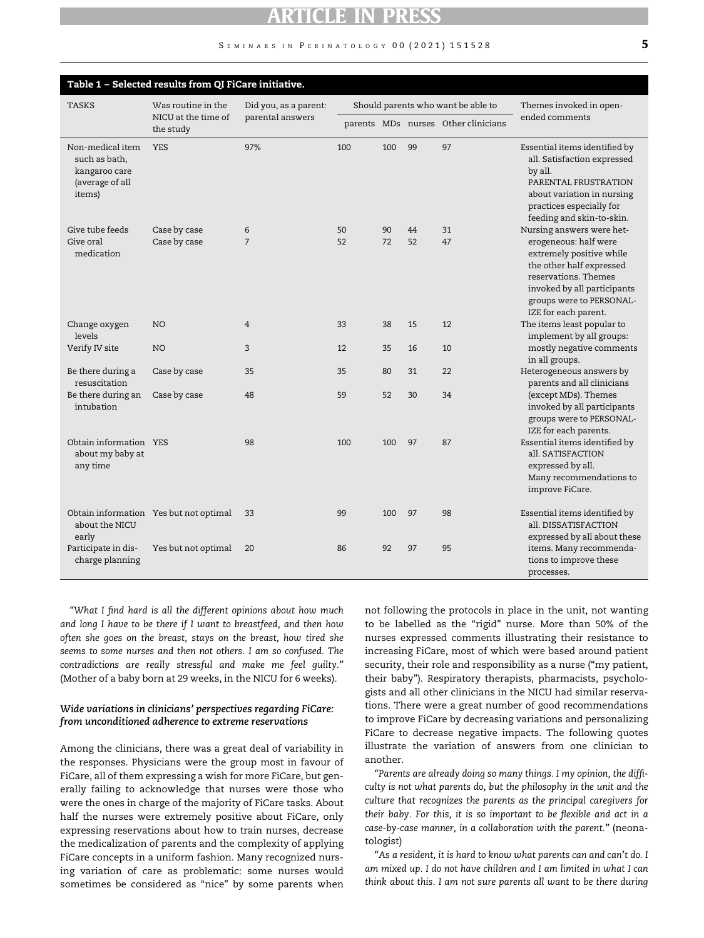#### S EMINARS IN PERINATOLOGY 00 (2021) 151528 5

<span id="page-4-0"></span>

| Table 1 - Selected results from QI FiCare initiative.                           |                                                        |                                           |                                    |     |    |                                     |                                                                                                                                                                                          |  |
|---------------------------------------------------------------------------------|--------------------------------------------------------|-------------------------------------------|------------------------------------|-----|----|-------------------------------------|------------------------------------------------------------------------------------------------------------------------------------------------------------------------------------------|--|
| <b>TASKS</b>                                                                    | Was routine in the<br>NICU at the time of<br>the study | Did you, as a parent:<br>parental answers | Should parents who want be able to |     |    |                                     | Themes invoked in open-                                                                                                                                                                  |  |
|                                                                                 |                                                        |                                           |                                    |     |    | parents MDs nurses Other clinicians | ended comments                                                                                                                                                                           |  |
| Non-medical item<br>such as bath,<br>kangaroo care<br>(average of all<br>items) | <b>YES</b>                                             | 97%                                       | 100                                | 100 | 99 | 97                                  | Essential items identified by<br>all. Satisfaction expressed<br>by all.<br>PARENTAL FRUSTRATION<br>about variation in nursing<br>practices especially for<br>feeding and skin-to-skin.   |  |
| Give tube feeds                                                                 | Case by case                                           | 6                                         | 50                                 | 90  | 44 | 31                                  | Nursing answers were het-                                                                                                                                                                |  |
| Give oral<br>medication                                                         | Case by case                                           | $\overline{7}$                            | 52                                 | 72  | 52 | 47                                  | erogeneous: half were<br>extremely positive while<br>the other half expressed<br>reservations. Themes<br>invoked by all participants<br>groups were to PERSONAL-<br>IZE for each parent. |  |
| Change oxygen<br>levels                                                         | N <sub>O</sub>                                         | $\overline{4}$                            | 33                                 | 38  | 15 | 12                                  | The items least popular to<br>implement by all groups:                                                                                                                                   |  |
| Verify IV site                                                                  | N <sub>O</sub>                                         | 3                                         | 12                                 | 35  | 16 | 10                                  | mostly negative comments<br>in all groups.                                                                                                                                               |  |
| Be there during a<br>resuscitation                                              | Case by case                                           | 35                                        | 35                                 | 80  | 31 | 22                                  | Heterogeneous answers by<br>parents and all clinicians                                                                                                                                   |  |
| Be there during an<br>intubation                                                | Case by case                                           | 48                                        | 59                                 | 52  | 30 | 34                                  | (except MDs). Themes<br>invoked by all participants<br>groups were to PERSONAL-<br>IZE for each parents.                                                                                 |  |
| Obtain information YES<br>about my baby at<br>any time                          |                                                        | 98                                        | 100                                | 100 | 97 | 87                                  | Essential items identified by<br>all. SATISFACTION<br>expressed by all.<br>Many recommendations to<br>improve FiCare.                                                                    |  |
| about the NICU<br>early                                                         | Obtain information Yes but not optimal                 | 33                                        | 99                                 | 100 | 97 | 98                                  | Essential items identified by<br>all. DISSATISFACTION<br>expressed by all about these                                                                                                    |  |
| Participate in dis-<br>charge planning                                          | Yes but not optimal                                    | 20                                        | 86                                 | 92  | 97 | 95                                  | items. Many recommenda-<br>tions to improve these<br>processes.                                                                                                                          |  |

"What I find hard is all the different opinions about how much and long I have to be there if I want to breastfeed, and then how often she goes on the breast, stays on the breast, how tired she seems to some nurses and then not others. I am so confused. The contradictions are really stressful and make me feel guilty." (Mother of a baby born at 29 weeks, in the NICU for 6 weeks).

#### Wide variations in clinicians' perspectives regarding FiCare: from unconditioned adherence to extreme reservations

Among the clinicians, there was a great deal of variability in the responses. Physicians were the group most in favour of FiCare, all of them expressing a wish for more FiCare, but generally failing to acknowledge that nurses were those who were the ones in charge of the majority of FiCare tasks. About half the nurses were extremely positive about FiCare, only expressing reservations about how to train nurses, decrease the medicalization of parents and the complexity of applying FiCare concepts in a uniform fashion. Many recognized nursing variation of care as problematic: some nurses would sometimes be considered as "nice" by some parents when not following the protocols in place in the unit, not wanting to be labelled as the "rigid" nurse. More than 50% of the nurses expressed comments illustrating their resistance to increasing FiCare, most of which were based around patient security, their role and responsibility as a nurse ("my patient, their baby"). Respiratory therapists, pharmacists, psychologists and all other clinicians in the NICU had similar reservations. There were a great number of good recommendations to improve FiCare by decreasing variations and personalizing FiCare to decrease negative impacts. The following quotes illustrate the variation of answers from one clinician to another.

"Parents are already doing so many things. I my opinion, the difficulty is not what parents do, but the philosophy in the unit and the culture that recognizes the parents as the principal caregivers for their baby. For this, it is so important to be flexible and act in a case-by-case manner, in a collaboration with the parent." (neonatologist)

"As a resident, it is hard to know what parents can and can't do. I am mixed up. I do not have children and I am limited in what I can think about this. I am not sure parents all want to be there during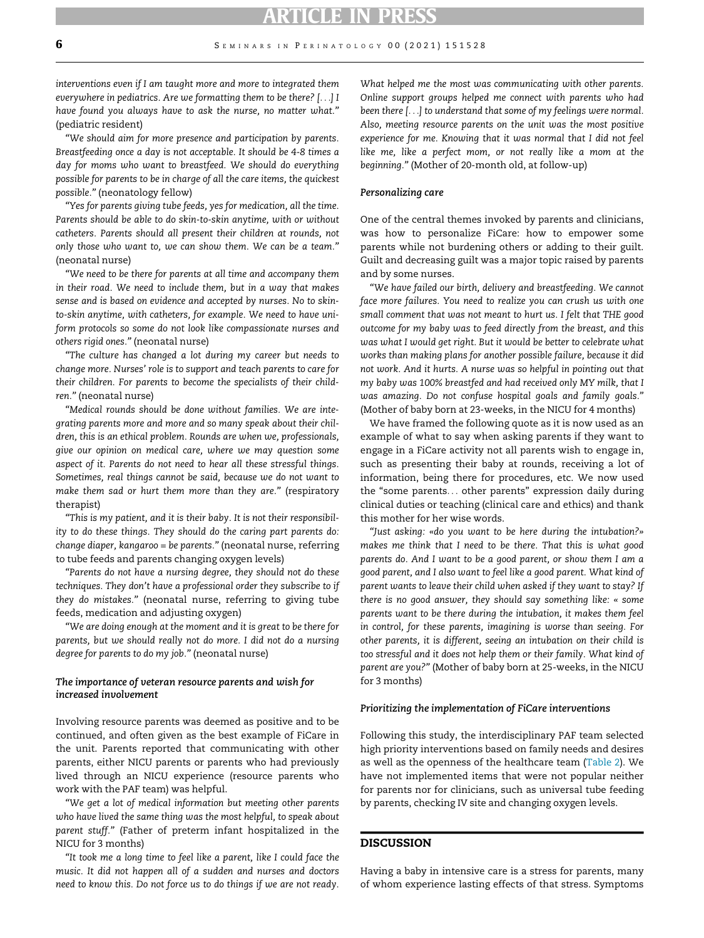interventions even if I am taught more and more to integrated them everywhere in pediatrics. Are we formatting them to be there? [...] I have found you always have to ask the nurse, no matter what." (pediatric resident)

"We should aim for more presence and participation by parents. Breastfeeding once a day is not acceptable. It should be 4-8 times a day for moms who want to breastfeed. We should do everything possible for parents to be in charge of all the care items, the quickest possible." (neonatology fellow)

"Yes for parents giving tube feeds, yes for medication, all the time. Parents should be able to do skin-to-skin anytime, with or without catheters. Parents should all present their children at rounds, not only those who want to, we can show them. We can be a team." (neonatal nurse)

"We need to be there for parents at all time and accompany them in their road. We need to include them, but in a way that makes sense and is based on evidence and accepted by nurses. No to skinto-skin anytime, with catheters, for example. We need to have uniform protocols so some do not look like compassionate nurses and others rigid ones." (neonatal nurse)

"The culture has changed a lot during my career but needs to change more. Nurses' role is to support and teach parents to care for their children. For parents to become the specialists of their children." (neonatal nurse)

"Medical rounds should be done without families. We are integrating parents more and more and so many speak about their children, this is an ethical problem. Rounds are when we, professionals, give our opinion on medical care, where we may question some aspect of it. Parents do not need to hear all these stressful things. Sometimes, real things cannot be said, because we do not want to make them sad or hurt them more than they are." (respiratory therapist)

"This is my patient, and it is their baby. It is not their responsibility to do these things. They should do the caring part parents do: change diaper, kangaroo = be parents." (neonatal nurse, referring to tube feeds and parents changing oxygen levels)

"Parents do not have a nursing degree, they should not do these techniques. They don't have a professional order they subscribe to if they do mistakes." (neonatal nurse, referring to giving tube feeds, medication and adjusting oxygen)

"We are doing enough at the moment and it is great to be there for parents, but we should really not do more. I did not do a nursing degree for parents to do my job." (neonatal nurse)

#### The importance of veteran resource parents and wish for increased involvement

Involving resource parents was deemed as positive and to be continued, and often given as the best example of FiCare in the unit. Parents reported that communicating with other parents, either NICU parents or parents who had previously lived through an NICU experience (resource parents who work with the PAF team) was helpful.

"We get a lot of medical information but meeting other parents who have lived the same thing was the most helpful, to speak about parent stuff." (Father of preterm infant hospitalized in the NICU for 3 months)

"It took me a long time to feel like a parent, like I could face the music. It did not happen all of a sudden and nurses and doctors need to know this. Do not force us to do things if we are not ready.

What helped me the most was communicating with other parents. Online support groups helped me connect with parents who had been there [...] to understand that some of my feelings were normal. Also, meeting resource parents on the unit was the most positive experience for me. Knowing that it was normal that I did not feel like me, like a perfect mom, or not really like a mom at the beginning." (Mother of 20-month old, at follow-up)

#### Personalizing care

One of the central themes invoked by parents and clinicians, was how to personalize FiCare: how to empower some parents while not burdening others or adding to their guilt. Guilt and decreasing guilt was a major topic raised by parents and by some nurses.

"We have failed our birth, delivery and breastfeeding. We cannot face more failures. You need to realize you can crush us with one small comment that was not meant to hurt us. I felt that THE good outcome for my baby was to feed directly from the breast, and this was what I would get right. But it would be better to celebrate what works than making plans for another possible failure, because it did not work. And it hurts. A nurse was so helpful in pointing out that my baby was 100% breastfed and had received only MY milk, that I was amazing. Do not confuse hospital goals and family goals." (Mother of baby born at 23-weeks, in the NICU for 4 months)

We have framed the following quote as it is now used as an example of what to say when asking parents if they want to engage in a FiCare activity not all parents wish to engage in, such as presenting their baby at rounds, receiving a lot of information, being there for procedures, etc. We now used the "some parents... other parents" expression daily during clinical duties or teaching (clinical care and ethics) and thank this mother for her wise words.

"Just asking: «do you want to be here during the intubation?» makes me think that I need to be there. That this is what good parents do. And I want to be a good parent, or show them I am a good parent, and I also want to feel like a good parent. What kind of parent wants to leave their child when asked if they want to stay? If there is no good answer, they should say something like: « some parents want to be there during the intubation, it makes them feel in control, for these parents, imagining is worse than seeing. For other parents, it is different, seeing an intubation on their child is too stressful and it does not help them or their family. What kind of parent are you?" (Mother of baby born at 25-weeks, in the NICU for 3 months)

#### Prioritizing the implementation of FiCare interventions

Following this study, the interdisciplinary PAF team selected high priority interventions based on family needs and desires as well as the openness of the healthcare team ([Table 2\)](#page-6-0). We have not implemented items that were not popular neither for parents nor for clinicians, such as universal tube feeding by parents, checking IV site and changing oxygen levels.

#### DISCUSSION

Having a baby in intensive care is a stress for parents, many of whom experience lasting effects of that stress. Symptoms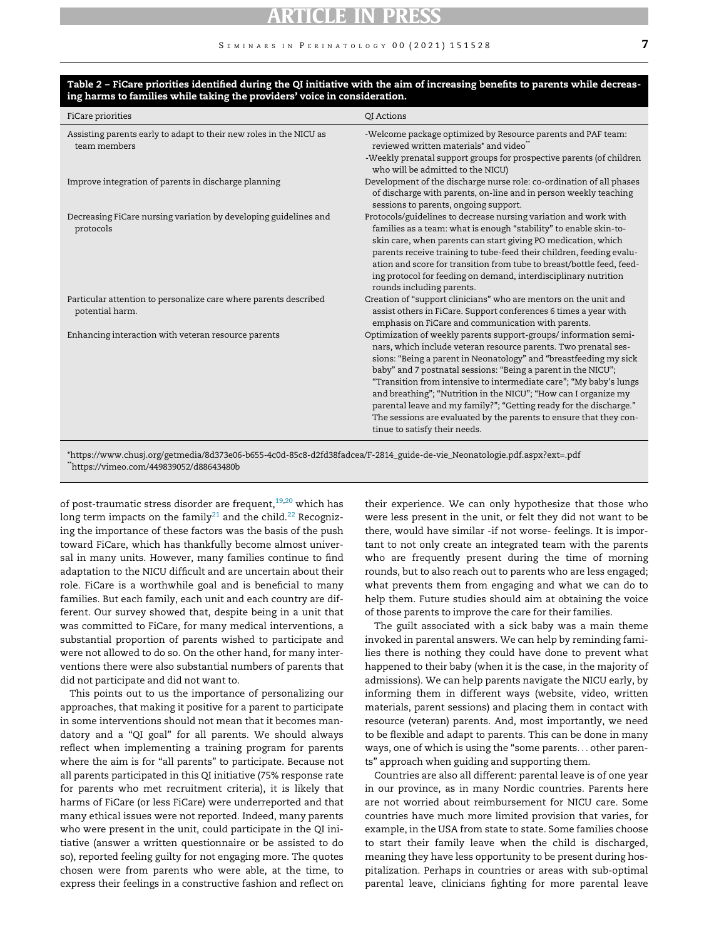<span id="page-6-0"></span>

| ing narms to lamines while taking the providers' voice in consideration.            |                                                                                                                                                                                                                                                                                                                                                                                                                                                                                                                                                                                                |  |  |  |  |  |
|-------------------------------------------------------------------------------------|------------------------------------------------------------------------------------------------------------------------------------------------------------------------------------------------------------------------------------------------------------------------------------------------------------------------------------------------------------------------------------------------------------------------------------------------------------------------------------------------------------------------------------------------------------------------------------------------|--|--|--|--|--|
| FiCare priorities                                                                   | QI Actions                                                                                                                                                                                                                                                                                                                                                                                                                                                                                                                                                                                     |  |  |  |  |  |
| Assisting parents early to adapt to their new roles in the NICU as<br>team members  | -Welcome package optimized by Resource parents and PAF team:<br>reviewed written materials <sup>*</sup> and video<br>-Weekly prenatal support groups for prospective parents (of children<br>who will be admitted to the NICU)                                                                                                                                                                                                                                                                                                                                                                 |  |  |  |  |  |
| Improve integration of parents in discharge planning                                | Development of the discharge nurse role: co-ordination of all phases<br>of discharge with parents, on-line and in person weekly teaching<br>sessions to parents, ongoing support.                                                                                                                                                                                                                                                                                                                                                                                                              |  |  |  |  |  |
| Decreasing FiCare nursing variation by developing guidelines and<br>protocols       | Protocols/guidelines to decrease nursing variation and work with<br>families as a team: what is enough "stability" to enable skin-to-<br>skin care, when parents can start giving PO medication, which<br>parents receive training to tube-feed their children, feeding evalu-<br>ation and score for transition from tube to breast/bottle feed, feed-<br>ing protocol for feeding on demand, interdisciplinary nutrition<br>rounds including parents.                                                                                                                                        |  |  |  |  |  |
| Particular attention to personalize care where parents described<br>potential harm. | Creation of "support clinicians" who are mentors on the unit and<br>assist others in FiCare. Support conferences 6 times a year with<br>emphasis on FiCare and communication with parents.                                                                                                                                                                                                                                                                                                                                                                                                     |  |  |  |  |  |
| Enhancing interaction with veteran resource parents                                 | Optimization of weekly parents support-groups/information semi-<br>nars, which include veteran resource parents. Two prenatal ses-<br>sions: "Being a parent in Neonatology" and "breastfeeding my sick<br>baby" and 7 postnatal sessions: "Being a parent in the NICU";<br>"Transition from intensive to intermediate care"; "My baby's lungs<br>and breathing"; "Nutrition in the NICU"; "How can I organize my<br>parental leave and my family?"; "Getting ready for the discharge."<br>The sessions are evaluated by the parents to ensure that they con-<br>tinue to satisfy their needs. |  |  |  |  |  |

#### Table 2 – FiCare priorities identified during the QI initiative with the aim of increasing benefits to parents while decreasing harms to families while taking the providers' voice in consideration.

\*https://www.chusj.org/getmedia/8d373e06-b655-4c0d-85c8-d2fd38fadcea/F-2814\_guide-de-vie\_Neonatologie.pdf.aspx?ext=.pdf \*\*https://vimeo.com/449839052/d88643480b

of post-traumatic stress disorder are frequent, $19,20$  $19,20$  which has long term impacts on the family<sup>[21](#page-8-4)</sup> and the child.<sup>[22](#page-8-5)</sup> Recognizing the importance of these factors was the basis of the push toward FiCare, which has thankfully become almost universal in many units. However, many families continue to find adaptation to the NICU difficult and are uncertain about their role. FiCare is a worthwhile goal and is beneficial to many families. But each family, each unit and each country are different. Our survey showed that, despite being in a unit that was committed to FiCare, for many medical interventions, a substantial proportion of parents wished to participate and were not allowed to do so. On the other hand, for many interventions there were also substantial numbers of parents that did not participate and did not want to.

This points out to us the importance of personalizing our approaches, that making it positive for a parent to participate in some interventions should not mean that it becomes mandatory and a "QI goal" for all parents. We should always reflect when implementing a training program for parents where the aim is for "all parents" to participate. Because not all parents participated in this QI initiative (75% response rate for parents who met recruitment criteria), it is likely that harms of FiCare (or less FiCare) were underreported and that many ethical issues were not reported. Indeed, many parents who were present in the unit, could participate in the QI initiative (answer a written questionnaire or be assisted to do so), reported feeling guilty for not engaging more. The quotes chosen were from parents who were able, at the time, to express their feelings in a constructive fashion and reflect on

their experience. We can only hypothesize that those who were less present in the unit, or felt they did not want to be there, would have similar -if not worse- feelings. It is important to not only create an integrated team with the parents who are frequently present during the time of morning rounds, but to also reach out to parents who are less engaged; what prevents them from engaging and what we can do to help them. Future studies should aim at obtaining the voice of those parents to improve the care for their families.

The guilt associated with a sick baby was a main theme invoked in parental answers. We can help by reminding families there is nothing they could have done to prevent what happened to their baby (when it is the case, in the majority of admissions). We can help parents navigate the NICU early, by informing them in different ways (website, video, written materials, parent sessions) and placing them in contact with resource (veteran) parents. And, most importantly, we need to be flexible and adapt to parents. This can be done in many ways, one of which is using the "some parents... other parents" approach when guiding and supporting them.

Countries are also all different: parental leave is of one year in our province, as in many Nordic countries. Parents here are not worried about reimbursement for NICU care. Some countries have much more limited provision that varies, for example, in the USA from state to state. Some families choose to start their family leave when the child is discharged, meaning they have less opportunity to be present during hospitalization. Perhaps in countries or areas with sub-optimal parental leave, clinicians fighting for more parental leave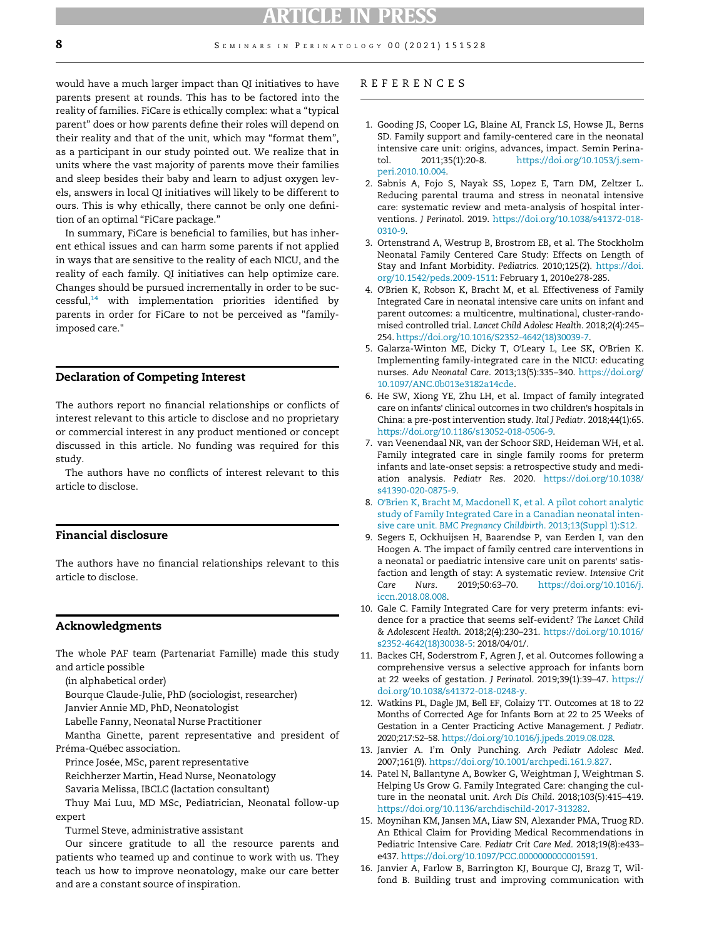<span id="page-7-0"></span>would have a much larger impact than QI initiatives to have parents present at rounds. This has to be factored into the reality of families. FiCare is ethically complex: what a "typical parent" does or how parents define their roles will depend on their reality and that of the unit, which may "format them", as a participant in our study pointed out. We realize that in units where the vast majority of parents move their families and sleep besides their baby and learn to adjust oxygen levels, answers in local QI initiatives will likely to be different to ours. This is why ethically, there cannot be only one definition of an optimal "FiCare package."

<span id="page-7-3"></span><span id="page-7-2"></span><span id="page-7-1"></span>In summary, FiCare is beneficial to families, but has inherent ethical issues and can harm some parents if not applied in ways that are sensitive to the reality of each NICU, and the reality of each family. QI initiatives can help optimize care. Changes should be pursued incrementally in order to be suc $cessful<sub>14</sub>$  with implementation priorities identified by parents in order for FiCare to not be perceived as "familyimposed care."

#### <span id="page-7-4"></span>Declaration of Competing Interest

<span id="page-7-5"></span>The authors report no financial relationships or conflicts of interest relevant to this article to disclose and no proprietary or commercial interest in any product mentioned or concept discussed in this article. No funding was required for this study.

<span id="page-7-7"></span><span id="page-7-6"></span>The authors have no conflicts of interest relevant to this article to disclose.

#### <span id="page-7-9"></span>Financial disclosure

The authors have no financial relationships relevant to this article to disclose.

#### <span id="page-7-8"></span>Acknowledgments

<span id="page-7-10"></span>The whole PAF team (Partenariat Famille) made this study and article possible

(in alphabetical order)

Bourque Claude-Julie, PhD (sociologist, researcher)

<span id="page-7-11"></span>Janvier Annie MD, PhD, Neonatologist

Labelle Fanny, Neonatal Nurse Practitioner

<span id="page-7-12"></span>Mantha Ginette, parent representative and president of Préma-Québec association.

<span id="page-7-13"></span>Prince Josée, MSc, parent representative

Reichherzer Martin, Head Nurse, Neonatology

Savaria Melissa, IBCLC (lactation consultant)

<span id="page-7-14"></span>Thuy Mai Luu, MD MSc, Pediatrician, Neonatal follow-up expert

Turmel Steve, administrative assistant

<span id="page-7-15"></span>Our sincere gratitude to all the resource parents and patients who teamed up and continue to work with us. They teach us how to improve neonatology, make our care better and are a constant source of inspiration.

#### REFERENCES

- 1. Gooding JS, Cooper LG, Blaine AI, Franck LS, Howse JL, Berns SD. Family support and family-centered care in the neonatal intensive care unit: origins, advances, impact. Semin Perinatol. 2011;35(1):20-8. [https://doi.org/10.1053/j.sem](https://doi.org/10.1053/j.semperi.2010.10.004)[peri.2010.10.004](https://doi.org/10.1053/j.semperi.2010.10.004).
- 2. Sabnis A, Fojo S, Nayak SS, Lopez E, Tarn DM, Zeltzer L. Reducing parental trauma and stress in neonatal intensive care: systematic review and meta-analysis of hospital interventions. J Perinatol. 2019. [https://doi.org/10.1038/s41372-018-](https://doi.org/10.1038/s41372-018-0310-9) [0310-9](https://doi.org/10.1038/s41372-018-0310-9).
- 3. Ortenstrand A, Westrup B, Brostrom EB, et al. The Stockholm Neonatal Family Centered Care Study: Effects on Length of Stay and Infant Morbidity. Pediatrics. 2010;125(2). [https://doi.](https://doi.org/10.1542/peds.2009-1511) [org/10.1542/peds.2009-1511:](https://doi.org/10.1542/peds.2009-1511) February 1, 2010e278-285.
- 4. O'Brien K, Robson K, Bracht M, et al. Effectiveness of Family Integrated Care in neonatal intensive care units on infant and parent outcomes: a multicentre, multinational, cluster-randomised controlled trial. Lancet Child Adolesc Health. 2018;2(4):245– 254. [https://doi.org/10.1016/S2352-4642\(18\)30039-7.](https://doi.org/10.1016/S2352-4642(18)30039-7)
- 5. Galarza-Winton ME, Dicky T, O'Leary L, Lee SK, O'Brien K. Implementing family-integrated care in the NICU: educating nurses. Adv Neonatal Care. 2013;13(5):335–340. [https://doi.org/](https://doi.org/10.1097/ANC.0b013e3182a14cde) [10.1097/ANC.0b013e3182a14cde.](https://doi.org/10.1097/ANC.0b013e3182a14cde)
- 6. He SW, Xiong YE, Zhu LH, et al. Impact of family integrated care on infants' clinical outcomes in two children's hospitals in China: a pre-post intervention study. Ital J Pediatr. 2018;44(1):65. <https://doi.org/10.1186/s13052-018-0506-9>.
- 7. van Veenendaal NR, van der Schoor SRD, Heideman WH, et al. Family integrated care in single family rooms for preterm infants and late-onset sepsis: a retrospective study and mediation analysis. Pediatr Res. 2020. [https://doi.org/10.1038/](https://doi.org/10.1038/s41390-020-0875-9) [s41390-020-0875-9.](https://doi.org/10.1038/s41390-020-0875-9)
- 8. O'[Brien K, Bracht M, Macdonell K, et al. A pilot cohort analytic](http://refhub.elsevier.com/S0146-0005(21)00142-7/sbref0008) [study of Family Integrated Care in a Canadian neonatal inten](http://refhub.elsevier.com/S0146-0005(21)00142-7/sbref0008)sive care unit. [BMC Pregnancy Childbirth](http://refhub.elsevier.com/S0146-0005(21)00142-7/sbref0008). 2013;13(Suppl 1):S12.
- 9. Segers E, Ockhuijsen H, Baarendse P, van Eerden I, van den Hoogen A. The impact of family centred care interventions in a neonatal or paediatric intensive care unit on parents' satisfaction and length of stay: A systematic review. Intensive Crit Care Nurs. 2019;50:63–70. [https://doi.org/10.1016/j.](https://doi.org/10.1016/j.iccn.2018.08.008) [iccn.2018.08.008.](https://doi.org/10.1016/j.iccn.2018.08.008)
- 10. Gale C. Family Integrated Care for very preterm infants: evidence for a practice that seems self-evident? The Lancet Child & Adolescent Health. 2018;2(4):230–231. [https://doi.org/10.1016/](https://doi.org/10.1016/s2352-4642(18)30038-5) [s2352-4642\(18\)30038-5:](https://doi.org/10.1016/s2352-4642(18)30038-5) 2018/04/01/.
- 11. Backes CH, Soderstrom F, Agren J, et al. Outcomes following a comprehensive versus a selective approach for infants born at 22 weeks of gestation. J Perinatol. 2019;39(1):39–47. [https://](https://doi.org/10.1038/s41372-018-0248-y) [doi.org/10.1038/s41372-018-0248-y.](https://doi.org/10.1038/s41372-018-0248-y)
- 12. Watkins PL, Dagle JM, Bell EF, Colaizy TT. Outcomes at 18 to 22 Months of Corrected Age for Infants Born at 22 to 25 Weeks of Gestation in a Center Practicing Active Management. J Pediatr. 2020;217:52–58. [https://doi.org/10.1016/j.jpeds.2019.08.028.](https://doi.org/10.1016/j.jpeds.2019.08.028)
- 13. Janvier A. I'm Only Punching. Arch Pediatr Adolesc Med. 2007;161(9). <https://doi.org/10.1001/archpedi.161.9.827>.
- 14. Patel N, Ballantyne A, Bowker G, Weightman J, Weightman S. Helping Us Grow G. Family Integrated Care: changing the culture in the neonatal unit. Arch Dis Child. 2018;103(5):415–419. [https://doi.org/10.1136/archdischild-2017-313282.](https://doi.org/10.1136/archdischild-2017-313282)
- 15. Moynihan KM, Jansen MA, Liaw SN, Alexander PMA, Truog RD. An Ethical Claim for Providing Medical Recommendations in Pediatric Intensive Care. Pediatr Crit Care Med. 2018;19(8):e433– e437. <https://doi.org/10.1097/PCC.0000000000001591>.
- 16. Janvier A, Farlow B, Barrington KJ, Bourque CJ, Brazg T, Wilfond B. Building trust and improving communication with